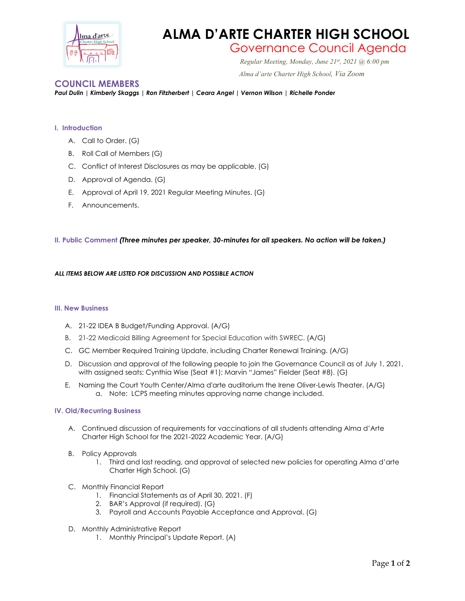

# **ALMA D'ARTE CHARTER HIGH SCHOOL**

## Governance Council Agenda *Regular Meeting, Monday, June 21st*

*Regular Meeting, Monday, June 21st, 2021 @ 6:00 pm Alma d'arte Charter High School, Via Zoom*

### **COUNCIL MEMBERS**

*Paul Dulin | Kimberly Skaggs | Ron Fitzherbert | Ceara Angel | Vernon Wilson | Richelle Ponder*

#### **I. Introduction**

- A. Call to Order. (G)
- B. Roll Call of Members (G)
- C. Conflict of Interest Disclosures as may be applicable. (G)
- D. Approval of Agenda. (G)
- E. Approval of April 19, 2021 Regular Meeting Minutes. (G)
- F. Announcements.

#### **II. Public Comment** *(Three minutes per speaker, 30-minutes for all speakers. No action will be taken.)*

#### *ALL ITEMS BELOW ARE LISTED FOR DISCUSSION AND POSSIBLE ACTION*

#### **III. New Business**

- A. 21-22 IDEA B Budget/Funding Approval. (A/G)
- B. 21-22 Medicaid Billing Agreement for Special Education with SWREC. (A/G)
- C. GC Member Required Training Update, including Charter Renewal Training. (A/G)
- D. Discussion and approval of the following people to join the Governance Council as of July 1, 2021, with assigned seats: Cynthia Wise (Seat #1); Marvin "James" Fielder (Seat #8). (G)
- E. Naming the Court Youth Center/Alma d'arte auditorium the Irene Oliver-Lewis Theater. (A/G) a. Note: LCPS meeting minutes approving name change included.

#### **IV. Old/Recurring Business**

- A. Continued discussion of requirements for vaccinations of all students attending Alma d'Arte Charter High School for the 2021-2022 Academic Year. (A/G)
- B. Policy Approvals
	- 1. Third and last reading, and approval of selected new policies for operating Alma d'arte Charter High School. (G)
- C. Monthly Financial Report
	- 1. Financial Statements as of April 30, 2021. (F)
	- 2. BAR's Approval (if required). (G)
	- 3. Payroll and Accounts Payable Acceptance and Approval. (G)
- D. Monthly Administrative Report
	- 1. Monthly Principal's Update Report. (A)